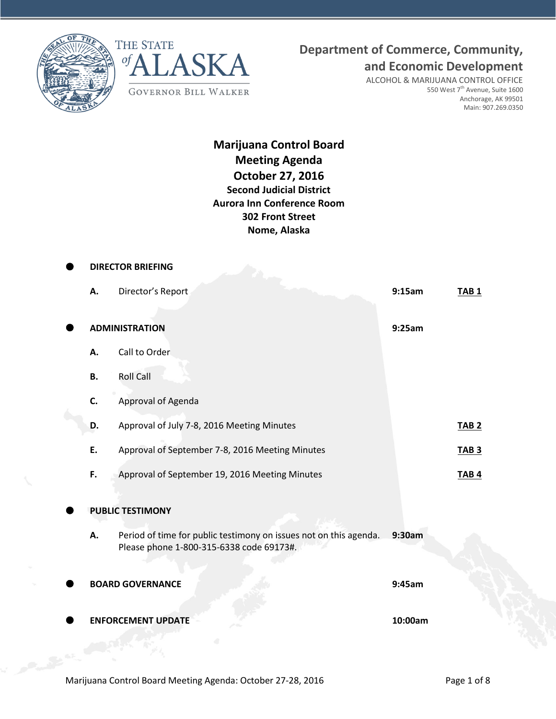



**Department of Commerce, Community,**

**and Economic Development**

ALCOHOL & MARIJUANA CONTROL OFFICE 550 West 7<sup>th</sup> Avenue, Suite 1600 Anchorage, AK 99501 Main: 907.269.0350

# **Marijuana Control Board Meeting Agenda October 27, 2016 Second Judicial District Aurora Inn Conference Room 302 Front Street Nome, Alaska**

|           | <b>DIRECTOR BRIEFING</b>                                                                                      |         |                  |
|-----------|---------------------------------------------------------------------------------------------------------------|---------|------------------|
| А.        | Director's Report                                                                                             | 9:15am  | TAB <sub>1</sub> |
|           | <b>ADMINISTRATION</b>                                                                                         | 9:25am  |                  |
| А.        | Call to Order                                                                                                 |         |                  |
| <b>B.</b> | <b>Roll Call</b>                                                                                              |         |                  |
| C.        | Approval of Agenda                                                                                            |         |                  |
| D.        | Approval of July 7-8, 2016 Meeting Minutes                                                                    |         | <b>TAB 2</b>     |
| Ε.        | Approval of September 7-8, 2016 Meeting Minutes                                                               |         | <b>TAB3</b>      |
| F.        | Approval of September 19, 2016 Meeting Minutes                                                                |         | <b>TAB4</b>      |
|           | <b>PUBLIC TESTIMONY</b>                                                                                       |         |                  |
| А.        | Period of time for public testimony on issues not on this agenda.<br>Please phone 1-800-315-6338 code 69173#. | 9:30am  |                  |
|           | <b>BOARD GOVERNANCE</b>                                                                                       | 9:45am  |                  |
|           | <b>ENFORCEMENT UPDATE</b>                                                                                     | 10:00am |                  |
|           |                                                                                                               |         |                  |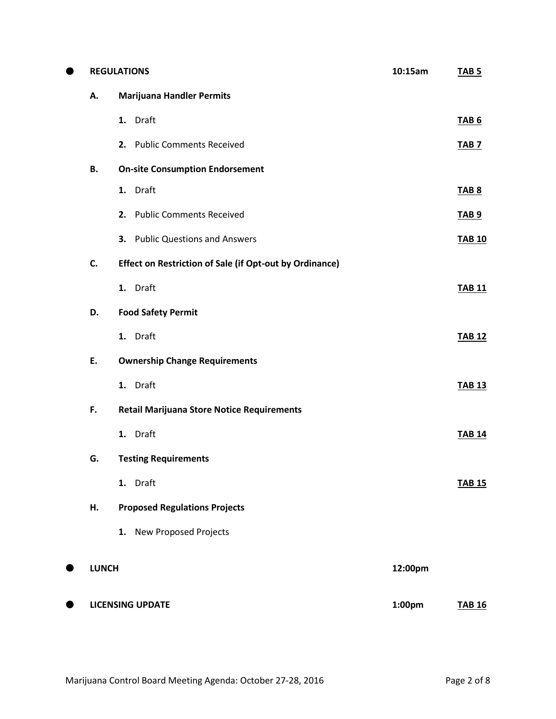| ● |              | <b>REGULATIONS</b>                                      |         | <b>TAB 5</b>  |
|---|--------------|---------------------------------------------------------|---------|---------------|
|   | Α.           | <b>Marijuana Handler Permits</b>                        |         |               |
|   |              | 1. Draft                                                |         | <b>TAB 6</b>  |
|   |              | 2. Public Comments Received                             |         | <b>TAB 7</b>  |
|   | В.           | <b>On-site Consumption Endorsement</b>                  |         |               |
|   |              | 1. Draft                                                |         | <b>TAB 8</b>  |
|   |              | 2. Public Comments Received                             |         | <b>TAB 9</b>  |
|   |              | 3. Public Questions and Answers                         |         | <b>TAB 10</b> |
|   | C.           | Effect on Restriction of Sale (if Opt-out by Ordinance) |         |               |
|   |              | 1. Draft                                                |         | <b>TAB 11</b> |
|   | D.           | <b>Food Safety Permit</b>                               |         |               |
|   |              | 1. Draft                                                |         | <b>TAB 12</b> |
|   | E.           | <b>Ownership Change Requirements</b>                    |         |               |
|   |              | 1. Draft                                                |         | <b>TAB 13</b> |
|   | F.           | <b>Retail Marijuana Store Notice Requirements</b>       |         |               |
|   |              | 1. Draft                                                |         | <b>TAB 14</b> |
|   | G.           | <b>Testing Requirements</b>                             |         |               |
|   |              | 1. Draft                                                |         | <b>TAB 15</b> |
|   | Н.           | <b>Proposed Regulations Projects</b>                    |         |               |
|   |              | 1. New Proposed Projects                                |         |               |
|   | <b>LUNCH</b> |                                                         | 12:00pm |               |
|   |              |                                                         |         |               |
|   |              | <b>LICENSING UPDATE</b>                                 | 1:00pm  | <b>TAB 16</b> |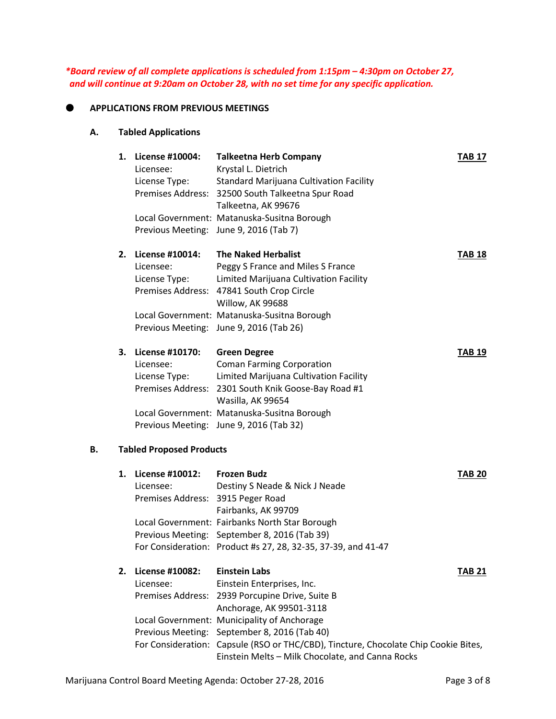*\*Board review of all complete applications is scheduled from 1:15pm – 4:30pm on October 27, and will continue at 9:20am on October 28, with no set time for any specific application.*

#### **APPLICATIONS FROM PREVIOUS MEETINGS**

#### **A. Tabled Applications**

|    | 1. | License #10004:<br>Licensee:<br>License Type:                      | <b>Talkeetna Herb Company</b><br>Krystal L. Dietrich<br><b>Standard Marijuana Cultivation Facility</b><br>Premises Address: 32500 South Talkeetna Spur Road<br>Talkeetna, AK 99676                                                             | <b>TAB 17</b> |
|----|----|--------------------------------------------------------------------|------------------------------------------------------------------------------------------------------------------------------------------------------------------------------------------------------------------------------------------------|---------------|
|    |    |                                                                    | Local Government: Matanuska-Susitna Borough<br>Previous Meeting: June 9, 2016 (Tab 7)                                                                                                                                                          |               |
|    | 2. | License #10014:<br>Licensee:<br>License Type:                      | <b>The Naked Herbalist</b><br>Peggy S France and Miles S France<br>Limited Marijuana Cultivation Facility<br>Premises Address: 47841 South Crop Circle<br>Willow, AK 99688                                                                     | <b>TAB 18</b> |
|    |    |                                                                    | Local Government: Matanuska-Susitna Borough<br>Previous Meeting: June 9, 2016 (Tab 26)                                                                                                                                                         |               |
|    | 3. | License #10170:<br>Licensee:<br>License Type:<br>Premises Address: | <b>Green Degree</b><br><b>Coman Farming Corporation</b><br>Limited Marijuana Cultivation Facility<br>2301 South Knik Goose-Bay Road #1<br>Wasilla, AK 99654                                                                                    | <b>TAB 19</b> |
|    |    |                                                                    | Local Government: Matanuska-Susitna Borough<br>Previous Meeting: June 9, 2016 (Tab 32)                                                                                                                                                         |               |
| В. |    | <b>Tabled Proposed Products</b>                                    |                                                                                                                                                                                                                                                |               |
|    | 1. | License #10012:<br>Licensee:<br>Premises Address: 3915 Peger Road  | <b>Frozen Budz</b><br>Destiny S Neade & Nick J Neade<br>Fairbanks, AK 99709<br>Local Government: Fairbanks North Star Borough<br>Previous Meeting: September 8, 2016 (Tab 39)<br>For Consideration: Product #s 27, 28, 32-35, 37-39, and 41-47 | <b>TAB 20</b> |
|    | 2. | License #10082:<br>Licensee:<br>Premises Address:                  | <b>Einstein Labs</b><br>Einstein Enterprises, Inc.<br>2939 Porcupine Drive, Suite B<br>Anchorage, AK 99501-3118<br>Local Government: Municipality of Anchorage<br>Previous Meeting: September 8, 2016 (Tab 40)                                 | TAB 21        |
|    |    |                                                                    | For Consideration: Capsule (RSO or THC/CBD), Tincture, Chocolate Chip Cookie Bites,<br>Einstein Melts - Milk Chocolate, and Canna Rocks                                                                                                        |               |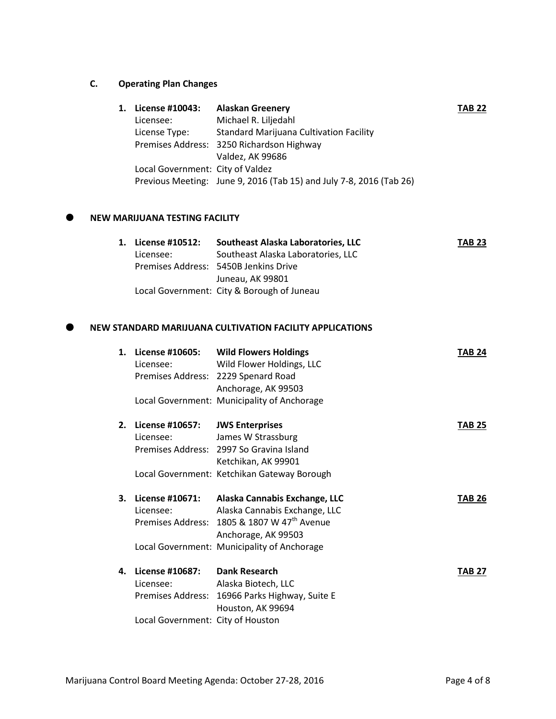# **C. Operating Plan Changes**

| License #10043:                  | <b>Alaskan Greenery</b>                                             | <b>TAB 22</b> |
|----------------------------------|---------------------------------------------------------------------|---------------|
| Licensee:                        | Michael R. Liljedahl                                                |               |
| License Type:                    | <b>Standard Marijuana Cultivation Facility</b>                      |               |
|                                  | Premises Address: 3250 Richardson Highway                           |               |
|                                  | Valdez, AK 99686                                                    |               |
| Local Government: City of Valdez |                                                                     |               |
|                                  | Previous Meeting: June 9, 2016 (Tab 15) and July 7-8, 2016 (Tab 26) |               |
|                                  |                                                                     |               |

## **NEW MARIJUANA TESTING FACILITY**

| 1. License #10512: | Southeast Alaska Laboratories, LLC         | <b>TAB 23</b> |
|--------------------|--------------------------------------------|---------------|
| Licensee:          | Southeast Alaska Laboratories, LLC         |               |
|                    | Premises Address: 5450B Jenkins Drive      |               |
|                    | Juneau, AK 99801                           |               |
|                    | Local Government: City & Borough of Juneau |               |

## **NEW STANDARD MARIJUANA CULTIVATION FACILITY APPLICATIONS**

| 1. | Licensee:                         | License #10605: Wild Flowers Holdings<br>Wild Flower Holdings, LLC | <b>TAB 24</b> |  |
|----|-----------------------------------|--------------------------------------------------------------------|---------------|--|
|    |                                   | Premises Address: 2229 Spenard Road                                |               |  |
|    |                                   | Anchorage, AK 99503                                                |               |  |
|    |                                   | Local Government: Municipality of Anchorage                        |               |  |
| 2. | License #10657:                   | <b>JWS Enterprises</b>                                             | <b>TAB 25</b> |  |
|    | Licensee:                         | James W Strassburg                                                 |               |  |
|    |                                   | Premises Address: 2997 So Gravina Island                           |               |  |
|    |                                   | Ketchikan, AK 99901                                                |               |  |
|    |                                   | Local Government: Ketchikan Gateway Borough                        |               |  |
| З. | License #10671:                   | Alaska Cannabis Exchange, LLC                                      | <b>TAB 26</b> |  |
|    | Licensee:                         | Alaska Cannabis Exchange, LLC                                      |               |  |
|    |                                   | Premises Address: 1805 & 1807 W 47 <sup>th</sup> Avenue            |               |  |
|    |                                   | Anchorage, AK 99503                                                |               |  |
|    |                                   | Local Government: Municipality of Anchorage                        |               |  |
| 4. | License #10687:                   | <b>Dank Research</b>                                               | <b>TAB 27</b> |  |
|    | Licensee:                         | Alaska Biotech, LLC                                                |               |  |
|    |                                   | Premises Address: 16966 Parks Highway, Suite E                     |               |  |
|    |                                   | Houston, AK 99694                                                  |               |  |
|    | Local Government: City of Houston |                                                                    |               |  |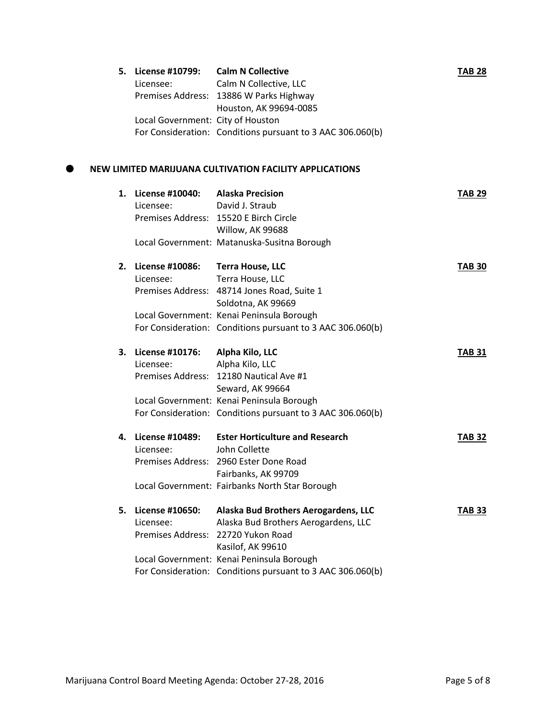|    | 5. License #10799:<br>Licensee:   | <b>Calm N Collective</b><br>Calm N Collective, LLC         | <b>TAB 28</b> |
|----|-----------------------------------|------------------------------------------------------------|---------------|
|    |                                   | Premises Address: 13886 W Parks Highway                    |               |
|    |                                   | Houston, AK 99694-0085                                     |               |
|    | Local Government: City of Houston |                                                            |               |
|    |                                   | For Consideration: Conditions pursuant to 3 AAC 306.060(b) |               |
|    |                                   |                                                            |               |
|    |                                   | NEW LIMITED MARIJUANA CULTIVATION FACILITY APPLICATIONS    |               |
|    | 1. License #10040:                | <b>Alaska Precision</b>                                    | <b>TAB 29</b> |
|    | Licensee:                         | David J. Straub                                            |               |
|    |                                   | Premises Address: 15520 E Birch Circle                     |               |
|    |                                   | Willow, AK 99688                                           |               |
|    |                                   | Local Government: Matanuska-Susitna Borough                |               |
|    | 2. License #10086:                | <b>Terra House, LLC</b>                                    | <b>TAB 30</b> |
|    | Licensee:                         | Terra House, LLC                                           |               |
|    |                                   | Premises Address: 48714 Jones Road, Suite 1                |               |
|    |                                   | Soldotna, AK 99669                                         |               |
|    |                                   | Local Government: Kenai Peninsula Borough                  |               |
|    |                                   | For Consideration: Conditions pursuant to 3 AAC 306.060(b) |               |
| З. | License #10176:                   | Alpha Kilo, LLC                                            | <b>TAB 31</b> |
|    | Licensee:                         | Alpha Kilo, LLC                                            |               |
|    |                                   | Premises Address: 12180 Nautical Ave #1                    |               |
|    |                                   | Seward, AK 99664                                           |               |
|    |                                   | Local Government: Kenai Peninsula Borough                  |               |
|    |                                   | For Consideration: Conditions pursuant to 3 AAC 306.060(b) |               |
| 4. | <b>License #10489:</b>            | <b>Ester Horticulture and Research</b>                     | <b>TAB 32</b> |
|    | Licensee:                         | John Collette                                              |               |
|    |                                   | Premises Address: 2960 Ester Done Road                     |               |
|    |                                   | Fairbanks, AK 99709                                        |               |
|    |                                   | Local Government: Fairbanks North Star Borough             |               |
| 5. | License #10650:                   | Alaska Bud Brothers Aerogardens, LLC                       | <b>TAB 33</b> |
|    | Licensee:                         | Alaska Bud Brothers Aerogardens, LLC                       |               |
|    |                                   | Premises Address: 22720 Yukon Road                         |               |
|    |                                   | Kasilof, AK 99610                                          |               |
|    |                                   | Local Government: Kenai Peninsula Borough                  |               |
|    |                                   | For Consideration: Conditions pursuant to 3 AAC 306.060(b) |               |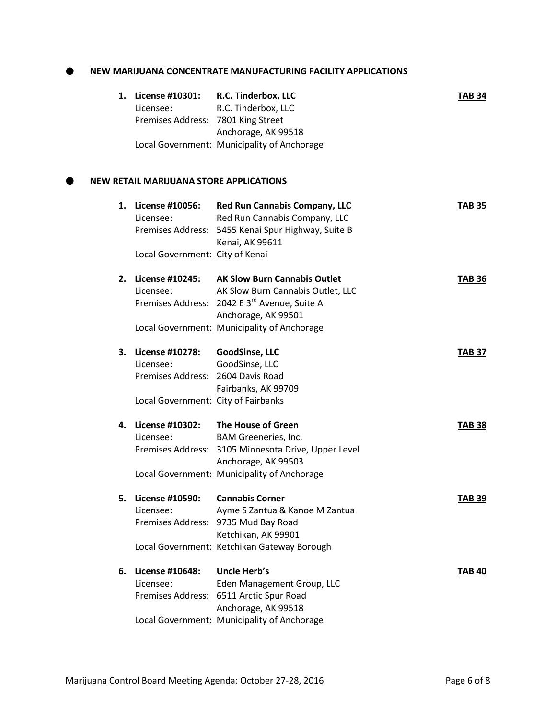### **NEW MARIJUANA CONCENTRATE MANUFACTURING FACILITY APPLICATIONS**

| 1. | License #10301:<br>Licensee:<br>Premises Address: 7801 King Street                                       | R.C. Tinderbox, LLC<br>R.C. Tinderbox, LLC                                                                                                                  | <b>TAB 34</b> |
|----|----------------------------------------------------------------------------------------------------------|-------------------------------------------------------------------------------------------------------------------------------------------------------------|---------------|
|    |                                                                                                          | Anchorage, AK 99518<br>Local Government: Municipality of Anchorage                                                                                          |               |
|    | <b>NEW RETAIL MARIJUANA STORE APPLICATIONS</b>                                                           |                                                                                                                                                             |               |
|    | 1. License #10056:<br>Licensee:                                                                          | <b>Red Run Cannabis Company, LLC</b><br>Red Run Cannabis Company, LLC<br>Premises Address: 5455 Kenai Spur Highway, Suite B<br>Kenai, AK 99611              | <b>TAB 35</b> |
|    | Local Government: City of Kenai                                                                          |                                                                                                                                                             |               |
| 2. | License #10245:<br>Licensee:                                                                             | <b>AK Slow Burn Cannabis Outlet</b><br>AK Slow Burn Cannabis Outlet, LLC<br>Premises Address: 2042 E 3 <sup>rd</sup> Avenue, Suite A<br>Anchorage, AK 99501 | <b>TAB 36</b> |
|    |                                                                                                          | Local Government: Municipality of Anchorage                                                                                                                 |               |
| 3. | License #10278:<br>Licensee:<br>Premises Address: 2604 Davis Road<br>Local Government: City of Fairbanks | GoodSinse, LLC<br>GoodSinse, LLC<br>Fairbanks, AK 99709                                                                                                     | <b>TAB 37</b> |
| 4. | License #10302:<br>Licensee:                                                                             | The House of Green<br>BAM Greeneries, Inc.<br>Premises Address: 3105 Minnesota Drive, Upper Level<br>Anchorage, AK 99503                                    | <b>TAB 38</b> |
|    |                                                                                                          | Local Government: Municipality of Anchorage                                                                                                                 |               |
| 5. | License #10590: Cannabis Corner<br>Licensee:                                                             | Ayme S Zantua & Kanoe M Zantua<br>Premises Address: 9735 Mud Bay Road<br>Ketchikan, AK 99901                                                                | <b>TAB 39</b> |
|    |                                                                                                          | Local Government: Ketchikan Gateway Borough                                                                                                                 |               |
| 6. | License #10648:<br>Licensee:                                                                             | <b>Uncle Herb's</b><br>Eden Management Group, LLC<br>Premises Address: 6511 Arctic Spur Road<br>Anchorage, AK 99518                                         | <b>TAB 40</b> |
|    |                                                                                                          | Local Government: Municipality of Anchorage                                                                                                                 |               |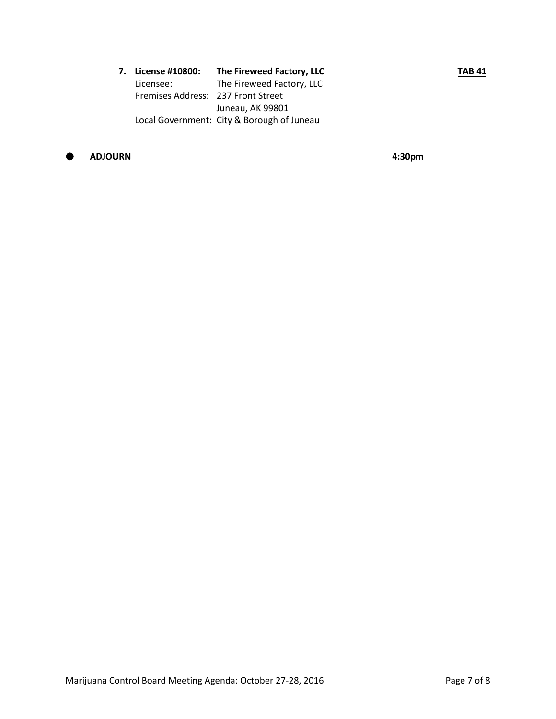| 7.    License #10800:              | The Fireweed Factory, LLC                  | <b>TAB 41</b> |
|------------------------------------|--------------------------------------------|---------------|
| Licensee:                          | The Fireweed Factory, LLC                  |               |
| Premises Address: 237 Front Street |                                            |               |
|                                    | Juneau, AK 99801                           |               |
|                                    | Local Government: City & Borough of Juneau |               |